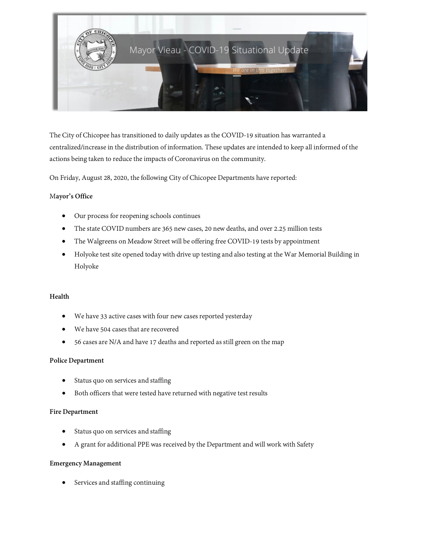

The City of Chicopee has transitioned to daily updates as the COVID-19 situation has warranted a centralized/increase in the distribution of information. These updates are intended to keep all informed of the actions being taken to reduce the impacts of Coronavirus on the community.

On Friday, August 28, 2020, the following City of Chicopee Departments havereported:

### M**ayor's Office**

- Our process for reopening schools continues
- The state COVID numbers are 365 new cases, 20 new deaths, and over 2.25 million tests
- The Walgreens on Meadow Street will be offering free COVID-19 tests by appointment
- Holyoke test site opened today with drive up testing and also testing at the War Memorial Building in Holyoke

#### **Health**

- We have 33 active cases with four new cases reported yesterday
- We have 504 cases that are recovered
- 56 cases are N/A and have 17 deaths and reported as still green on the map

#### **Police Department**

- Status quo on services and staffing
- Both officers that were tested have returned with negative test results

#### **Fire Department**

- Status quo on services and staffing
- A grant for additional PPE was received by the Department and will work with Safety

#### **Emergency Management**

• Services and staffing continuing